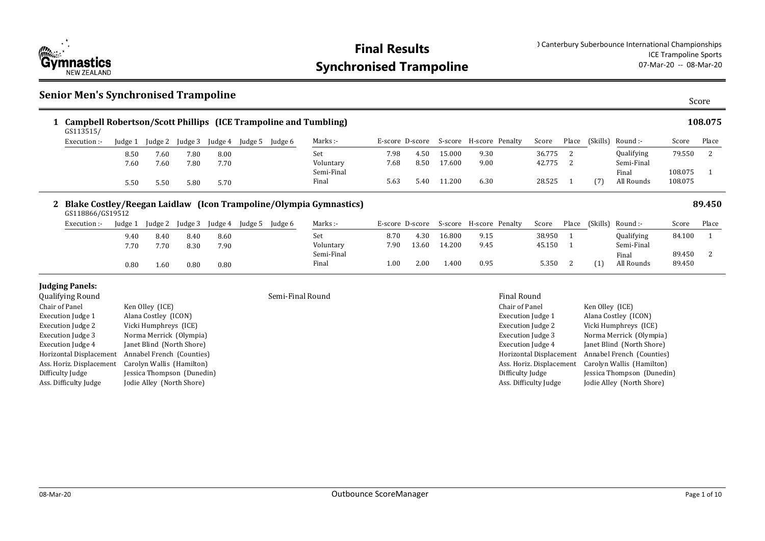

### **Senior Men's Synchronised Trampoline**

| ۰.<br>٩<br>×<br>۰,<br>×<br>ł |
|------------------------------|
|------------------------------|

| Campbell Robertson/Scott Phillips (ICE Trampoline and Tumbling)<br>GS113515/ |         |         |         |         |         |         |                     |      |      |        |                                         |          |       |          |                     |                    | 108.075 |
|------------------------------------------------------------------------------|---------|---------|---------|---------|---------|---------|---------------------|------|------|--------|-----------------------------------------|----------|-------|----------|---------------------|--------------------|---------|
| Execution :-                                                                 | ludge 1 | Judge 2 | Judge 3 | Judge 4 | Judge 5 | Judge 6 | Marks :-            |      |      |        | E-score D-score S-score H-score Penalty | Score    | Place | (Skills) | -: Round            | Score              | Place   |
|                                                                              | 8.50    | 7.60    | 7.80    | 8.00    |         |         | Set                 | 7.98 | 4.50 | 15.000 | 9.30                                    | 36.775   |       |          | Qualifying          | 79.550             |         |
|                                                                              | 7.60    | 7.60    | 7.80    | 7.70    |         |         | Voluntary           | 7.68 | 8.50 | 17.600 | 9.00                                    | 42.775 2 |       |          | Semi-Final          |                    |         |
|                                                                              | 5.50    | 5.50    | 5.80    | 5.70    |         |         | Semi-Final<br>Final | 5.63 | 5.40 | 11.200 | 6.30                                    | 28.525   |       | (7)      | Final<br>All Rounds | 108.075<br>108.075 |         |
|                                                                              |         |         |         |         |         |         |                     |      |      |        |                                         |          |       |          |                     |                    |         |

### **Blake Costley/Reegan Laidlaw (Icon Trampoline/Olympia Gymnastics) 2 89.450**

| GS118866/GS19512 |         |         |         |        |                     |         |            |                   |       |         |                 |        |       |          |                   |        |       |
|------------------|---------|---------|---------|--------|---------------------|---------|------------|-------------------|-------|---------|-----------------|--------|-------|----------|-------------------|--------|-------|
| Execution :-     | Judge 1 | Judge 2 | Judge 3 | udge 4 | <sup>I</sup> udge 5 | Judge 6 | Marks :-   | E-score D-score   |       | S-score | H-score Penalty | Score  | Place | (Skills) | Round :-          | Score  | Place |
|                  | 9.40    | 8.40    | 8.40    | 8.60   |                     |         | Set        | 8.70              | 4.30  | 16.800  | 9.15            | 38.950 |       |          | <b>Qualifying</b> | 84.100 |       |
|                  | 7.70    | 7.70    | 8.30    | 7.90   |                     |         | Voluntary  | 7.90              | 13.60 | 14.200  | 9.45            | 45.150 |       |          | Semi-Final        |        |       |
|                  |         |         |         |        |                     |         | Semi-Final |                   |       |         |                 |        |       |          | Final             | 89.450 |       |
|                  | 0.80    | 1.60    | 0.80    | 0.80   |                     |         | Final      | 1.00 <sub>1</sub> | 2.00  | 1.400   | 0.95            | 5.350  |       |          | All Rounds        | 89.450 |       |

#### **Judging Panels:**

| <b>Qualifying Round</b>  |                            | Semi-Final Round | <b>Final Round</b>   |
|--------------------------|----------------------------|------------------|----------------------|
| Chair of Panel           | Ken Olley (ICE)            |                  | Chair of Pane.       |
| Execution Judge 1        | Alana Costley (ICON)       |                  | Execution Juc        |
| <b>Execution Judge 2</b> | Vicki Humphreys (ICE)      |                  | Execution Juc        |
| Execution Judge 3        | Norma Merrick (Olympia)    |                  | <b>Execution</b> Juc |
| Execution Judge 4        | Janet Blind (North Shore)  |                  | <b>Execution</b> Juc |
| Horizontal Displacement  | Annabel French (Counties)  |                  | Horizontal Di        |
| Ass. Horiz. Displacement | Carolyn Wallis (Hamilton)  |                  | Ass. Horiz. Di       |
| Difficulty Judge         | Jessica Thompson (Dunedin) |                  | Difficulty Jud       |
| Ass. Difficulty Judge    | Jodie Alley (North Shore)  |                  | Ass. Difficulty      |
|                          |                            |                  |                      |

#### Chair of Panel Ken Olley (ICE) Execution Judge 1 Alana Costley (ICON) Execution Judge 2 Vicki Humphreys (ICE) Execution Judge 3 Norma Merrick (Olympia) Execution Judge 4 Janet Blind (North Shore) Horizontal Displacement Annabel French (Counties) Ass. Horiz. Displacement Carolyn Wallis (Hamilton) Difficulty Judge Jessica Thompson (Dunedin) Ass. Difficulty Judge Jodie Alley (North Shore)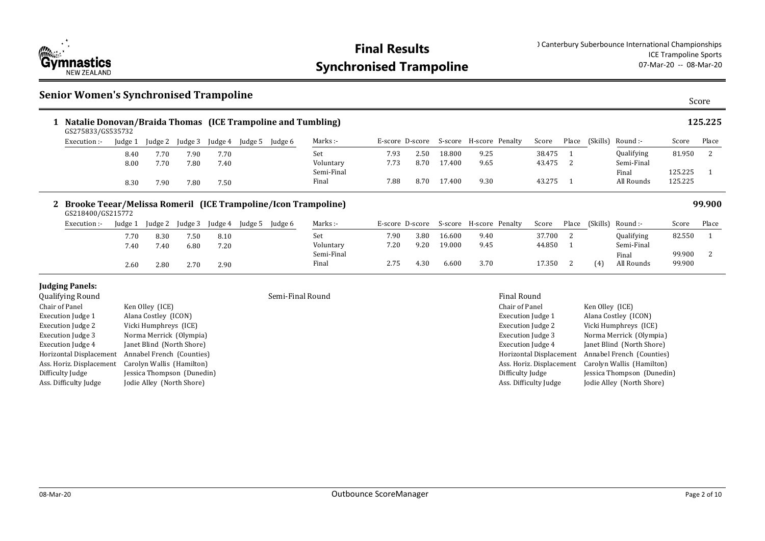

### **Senior Women's Synchronised Trampoline**

| ×<br>×<br>۰.<br>٩<br>ł |
|------------------------|
|------------------------|

| Natalie Donovan/Braida Thomas (ICE Trampoline and Tumbling)<br>GS275833/GS535732 |         |         |         |         |         |         |            |      |      |        |                                         |          |       |          |                   |         | 125.225 |
|----------------------------------------------------------------------------------|---------|---------|---------|---------|---------|---------|------------|------|------|--------|-----------------------------------------|----------|-------|----------|-------------------|---------|---------|
| Execution :-                                                                     | Judge 1 | Judge 2 | Judge 3 | Judge 4 | Judge 5 | Judge 6 | Marks :-   |      |      |        | E-score D-score S-score H-score Penalty | Score    | Place | (Skills) | Round :-          | Score   | Place   |
|                                                                                  | 8.40    | 7.70    | 7.90    | 7.70    |         |         | Set        | 7.93 | 2.50 | 18.800 | 9.25                                    | 38.475   |       |          | <b>Qualifying</b> | 81.950  |         |
|                                                                                  | 8.00    | 7.70    | 7.80    | 7.40    |         |         | Voluntary  | 7.73 | 8.70 | 17.400 | 9.65                                    | 43.475 2 |       |          | Semi-Final        |         |         |
|                                                                                  |         |         |         |         |         |         | Semi-Final |      |      |        |                                         |          |       |          | Final             | 125.225 |         |
|                                                                                  | 8.30    | 7.90    | 7.80    | 7.50    |         |         | Final      | 7.88 | 8.70 | 17.400 | 9.30                                    | 43.275   |       |          | All Rounds        | 125.225 |         |
|                                                                                  |         |         |         |         |         |         |            |      |      |        |                                         |          |       |          |                   |         |         |

### **Brooke Teear/Melissa Romeril (ICE Trampoline/Icon Trampoline) 2 99.900**

| GS218400/GS215772 |         |         |         |         |         |         |            |                 |      |        |                         |        |       |          |                   |        |       |
|-------------------|---------|---------|---------|---------|---------|---------|------------|-----------------|------|--------|-------------------------|--------|-------|----------|-------------------|--------|-------|
| Execution :-      | Judge 1 | Judge 2 | Judge 3 | Judge 4 | Judge 5 | Judge 6 | Marks :-   | E-score D-score |      |        | S-score H-score Penalty | Score  | Place | (Skills) | Round :-          | Score  | Place |
|                   | 7.70    | 8.30    | 7.50    | 8.10    |         |         | Set        | 7.90            | 3.80 | 16.600 | 9.40                    | 37.700 |       |          | <b>Qualifying</b> | 82.550 |       |
|                   | 7.40    | 7.40    | 6.80    | 7.20    |         |         | Voluntary  | 7.20            | 9.20 | 19.000 | 9.45                    | 44.850 |       |          | Semi-Final        |        |       |
|                   |         |         |         |         |         |         | Semi-Final |                 |      |        |                         |        |       |          | Final             | 99.900 |       |
|                   | 2.60    | 2.80    | 2.70    | 2.90    |         |         | Final      | 2.75            | 30ء  | 6.600  | 3.70                    | 17.350 |       | (4)      | All Rounds        | 99.900 |       |

### **Judging Panels:**

| Qualifying Round         |                            |
|--------------------------|----------------------------|
| Chair of Panel           | Ken Olley (ICE)            |
| <b>Execution Judge 1</b> | Alana Costley (ICON)       |
| <b>Execution Judge 2</b> | Vicki Humphreys (ICE)      |
| <b>Execution Judge 3</b> | Norma Merrick (Olympia)    |
| <b>Execution Judge 4</b> | Janet Blind (North Shore)  |
| Horizontal Displacement  | Annabel French (Counties)  |
| Ass. Horiz. Displacement | Carolyn Wallis (Hamilton)  |
| Difficulty Judge         | Jessica Thompson (Dunedin) |
| Ass. Difficulty Judge    | Jodie Alley (North Shore)  |
|                          |                            |

#### Semi-Final Round **Final Round** Final Round Final Round

| Chair of Panel           | Ken Olley (ICE)            |
|--------------------------|----------------------------|
| <b>Execution Judge 1</b> | Alana Costley (ICON)       |
| <b>Execution Judge 2</b> | Vicki Humphreys (ICE)      |
| <b>Execution Judge 3</b> | Norma Merrick (Olympia)    |
| <b>Execution Judge 4</b> | Janet Blind (North Shore)  |
| Horizontal Displacement  | Annabel French (Counties)  |
| Ass. Horiz. Displacement | Carolyn Wallis (Hamilton)  |
| Difficulty Judge         | Jessica Thompson (Dunedin) |
| Ass. Difficulty Judge    | Jodie Alley (North Shore)  |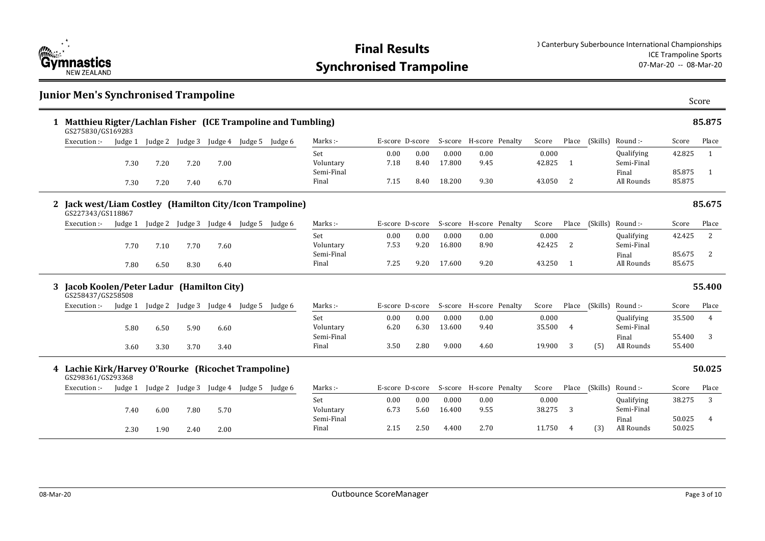

#### **Junior Men's Synchronised Trampoline Matthieu Rigter/Lachlan Fisher (ICE Trampoline and Tumbling) 1 85.875** 0.00 0.00 0.000 0.00 0.00 0.000 7.18 8.40 17.800 9.45 42.825 1 7.15 8.40 18.200 9.30 43.050 2 All Rounds 85.875 Set Voluntary Semi-Final Final Marks :- The Surface D-score S-score H-score Penalty Score Place (Skills) Round :-Qualifying Semi-Final Final All Rounds Score Place 42.825 1 85.875 1 (Skills) GS275830/GS169283 Execution :- Judge 1 Judge 2 Judge 3 Judge 4 Judge 5 Judge 6 7.30 7.20 7.20 7.00 7.30 7.20 7.40 6.70 **Jack west/Liam Costley (Hamilton City/Icon Trampoline) 2 85.675** 0.00 0.00 0.000 0.00 0.00 0.000 7.53 9.20 16.800 8.90 42.425 2 7.25 9.20 17.600 9.20 43.250 1 All Rounds 85.675 Set Voluntary Semi-Final Final Marks :- The E-score D-score S-score H-score Penalty Score Place (Skills) Round :-Qualifying Semi-Final Final All Rounds Score Place 42.425 2 85.675 2 (Skills) GS227343/GS118867 Execution :- Judge 1 Judge 2 Judge 3 Judge 4 Judge 5 Judge 6 7.70 7.10 7.70 7.60 7.80 6.50 8.30 6.40 **Jacob Koolen/Peter Ladur (Hamilton City) 3 55.400** 0.00 0.00 0.000 0.00 0.00 0.000 6.20 6.30 13.600 9.40 35.500 4 3.50 2.80 9.000 4.60 19.900 3 55 All Rounds 55.400 Set Voluntary Semi-Final Final Marks :- The E-score D-score S-score H-score Penalty Score Place (Skills) Round :-Qualifying Semi-Final Final Score Place 35.500 4 55.400 3 Place (Skills) (5) GS258437/GS258508 Execution :- Judge 1 Judge 2 Judge 3 Judge 4 Judge 5 Judge 6 5.80 6.50 5.90 6.60 3.60 3.30 3.70 3.40 **Lachie Kirk/Harvey O'Rourke (Ricochet Trampoline) 4 50.025** 0.00 0.00 0.000 0.00 0.00 0.000 6.73 5.60 16.400 9.55 38.275 3 2.15 2.50 4.400 2.70 11.750 4 (3) All Rounds 50.025 Set Voluntary Semi-Final Final Marks :- The Secore D-score S-score H-score Penalty Score Place (Skills) Round :-Qualifying Semi-Final Final All Rounds Score Place 38.275 3 50.025 4 (Skills) (3) GS298361/GS293368 Execution :- Judge 1 Judge 2 Judge 3 Judge 4 Judge 5 Judge 6 7.40 6.00 7.80 5.70 2.30 1.90 2.40 2.00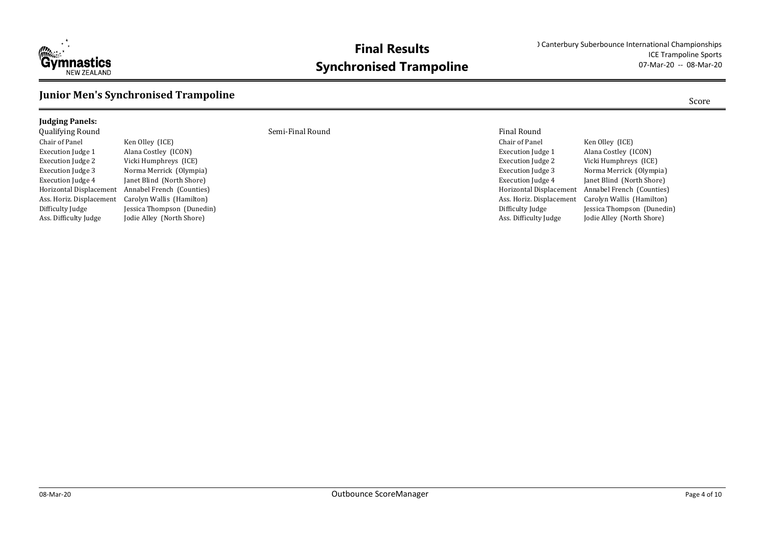

### **Junior Men's Synchronised Trampoline**

### **Judging Panels:** qualifying Round Final Round Semi-Final Round Semi-Final Round Final Round Chair of Panel Ken Olley (ICE) Execution Judge 1 Alana Costley (ICON)

Execution Judge 2 Vicki Humphreys (ICE) Execution Judge 3 Norma Merrick (Olympia) Execution Judge 4 Janet Blind (North Shore) Ass. Horiz. Displacement Carolyn Wallis (Hamilton) Ass. Difficulty Judge Jodie Alley (North Shore)

Horizontal Displacement Annabel French (Counties) Difficulty Judge Jessica Thompson (Dunedin)

| Finai Round              |                            |
|--------------------------|----------------------------|
| Chair of Panel           | Ken Olley (ICE)            |
| <b>Execution Judge 1</b> | Alana Costley (ICON)       |
| <b>Execution Judge 2</b> | Vicki Humphreys (ICE)      |
| <b>Execution Judge 3</b> | Norma Merrick (Olympia)    |
| <b>Execution Judge 4</b> | Janet Blind (North Shore)  |
| Horizontal Displacement  | Annabel French (Counties)  |
| Ass. Horiz. Displacement | Carolyn Wallis (Hamilton)  |
| Difficulty Judge         | Jessica Thompson (Dunedin) |
| Ass. Difficulty Judge    | Jodie Alley (North Shore)  |
|                          |                            |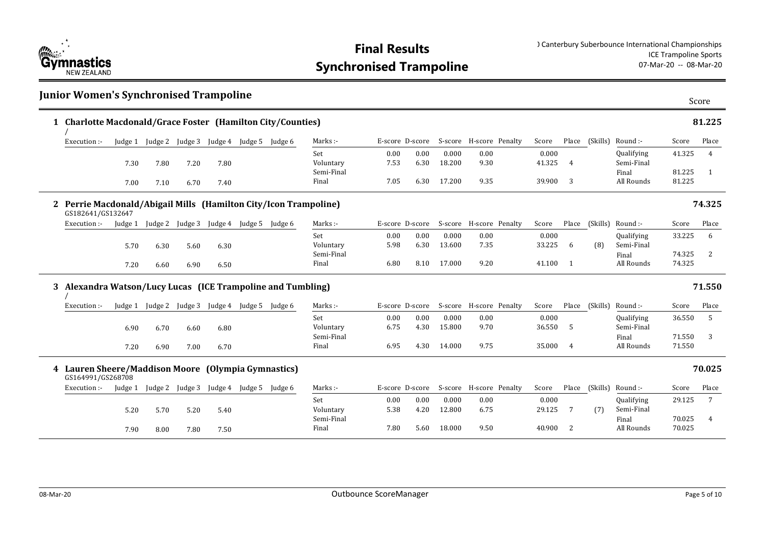

|             | 1 Charlotte Macdonald/Grace Foster (Hamilton City/Counties)                         |         |                         |         |      |                         |                     |                 |              |                 |                         |                 |                |                |                          |                  | 81.225 |
|-------------|-------------------------------------------------------------------------------------|---------|-------------------------|---------|------|-------------------------|---------------------|-----------------|--------------|-----------------|-------------------------|-----------------|----------------|----------------|--------------------------|------------------|--------|
|             | Execution :-                                                                        |         | Judge 1 Judge 2 Judge 3 |         |      | Judge 4 Judge 5 Judge 6 | Marks:-             | E-score D-score |              |                 | S-score H-score Penalty | Score           |                | Place (Skills) | Round :-                 | Score            | Place  |
|             |                                                                                     | 7.30    | 7.80                    | 7.20    | 7.80 |                         | Set<br>Voluntary    | 0.00<br>7.53    | 0.00<br>6.30 | 0.000<br>18.200 | 0.00<br>9.30            | 0.000<br>41.325 | $\overline{4}$ |                | Qualifying<br>Semi-Final | 41.325           | 4      |
|             |                                                                                     | 7.00    | 7.10                    | 6.70    | 7.40 |                         | Semi-Final<br>Final | 7.05            | 6.30         | 17.200          | 9.35                    | 39.900          | 3              |                | Final<br>All Rounds      | 81.225<br>81.225 | 1      |
| $2^{\circ}$ | Perrie Macdonald/Abigail Mills (Hamilton City/Icon Trampoline)<br>GS182641/GS132647 |         |                         |         |      |                         |                     |                 |              |                 |                         |                 |                |                |                          |                  | 74.325 |
|             | Execution :-                                                                        | Judge 1 | Judge 2                 | Judge 3 |      | Judge 4 Judge 5 Judge 6 | Marks :-            | E-score D-score |              |                 | S-score H-score Penalty | Score           |                |                | Place (Skills) Round:-   | Score            | Place  |
|             |                                                                                     | 5.70    | 6.30                    | 5.60    | 6.30 |                         | Set<br>Voluntary    | 0.00<br>5.98    | 0.00<br>6.30 | 0.000<br>13.600 | 0.00<br>7.35            | 0.000<br>33.225 | 6              | (8)            | Qualifying<br>Semi-Final | 33.225           | 6      |
|             |                                                                                     | 7.20    | 6.60                    | 6.90    | 6.50 |                         | Semi-Final<br>Final | 6.80            | 8.10         | 17.000          | 9.20                    | 41.100          | $\overline{1}$ |                | Final<br>All Rounds      | 74.325<br>74.325 | 2      |
|             | 3 Alexandra Watson/Lucy Lucas (ICE Trampoline and Tumbling)                         |         |                         |         |      |                         |                     |                 |              |                 |                         |                 |                |                |                          |                  | 71.550 |
|             | Execution :-                                                                        |         | Judge 1 Judge 2 Judge 3 |         |      | Judge 4 Judge 5 Judge 6 | Marks:-             | E-score D-score |              |                 | S-score H-score Penalty | Score           |                | Place (Skills) | Round :-                 | Score            | Place  |
|             |                                                                                     | 6.90    | 6.70                    | 6.60    | 6.80 |                         | Set<br>Voluntary    | 0.00<br>6.75    | 0.00<br>4.30 | 0.000<br>15.800 | 0.00<br>9.70            | 0.000<br>36.550 | -5             |                | Qualifying<br>Semi-Final | 36.550           | 5      |
|             |                                                                                     | 7.20    | 6.90                    | 7.00    | 6.70 |                         | Semi-Final<br>Final | 6.95            | 4.30         | 14.000          | 9.75                    | 35.000          | $\overline{4}$ |                | Final<br>All Rounds      | 71.550<br>71.550 | 3      |
|             | 4 Lauren Sheere/Maddison Moore (Olympia Gymnastics)<br>GS164991/GS268708            |         |                         |         |      |                         |                     |                 |              |                 |                         |                 |                |                |                          |                  | 70.025 |
|             | Execution :-                                                                        | Judge 1 | Judge 2                 | Judge 3 |      | Judge 4 Judge 5 Judge 6 | Marks:-             | E-score D-score |              |                 | S-score H-score Penalty | Score           |                | Place (Skills) | Round :-                 | Score            | Place  |
|             |                                                                                     | 5.20    | 5.70                    | 5.20    | 5.40 |                         | Set<br>Voluntary    | 0.00<br>5.38    | 0.00<br>4.20 | 0.000<br>12.800 | 0.00<br>6.75            | 0.000<br>29.125 | 7              | (7)            | Qualifying<br>Semi-Final | 29.125           | 7      |
|             |                                                                                     | 7.90    | 8.00                    | 7.80    | 7.50 |                         | Semi-Final<br>Final | 7.80            | 5.60         | 18.000          | 9.50                    | 40.900          | 2              |                | Final<br>All Rounds      | 70.025<br>70.025 | 4      |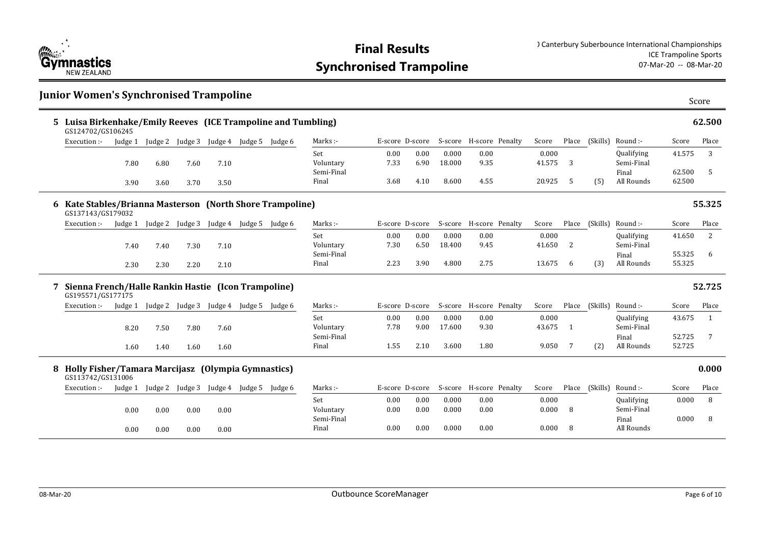

|    | <b>Junior Women's Synchronised Trampoline</b>                                    |         |         |                 |                                         |                         |                     |                 |              |                 |                         |                 |       |                |                          |                  | Score  |
|----|----------------------------------------------------------------------------------|---------|---------|-----------------|-----------------------------------------|-------------------------|---------------------|-----------------|--------------|-----------------|-------------------------|-----------------|-------|----------------|--------------------------|------------------|--------|
| 5. | Luisa Birkenhake/Emily Reeves (ICE Trampoline and Tumbling)<br>GS124702/GS106245 |         |         |                 |                                         |                         |                     |                 |              |                 |                         |                 |       |                |                          |                  | 62.500 |
|    | Execution :-                                                                     | Judge 1 |         |                 | Judge 2 Judge 3 Judge 4 Judge 5 Judge 6 |                         | Marks:-             | E-score D-score |              |                 | S-score H-score Penalty | Score           |       | Place (Skills) | Round :-                 | Score            | Place  |
|    |                                                                                  | 7.80    | 6.80    | 7.60            | 7.10                                    |                         | Set<br>Voluntary    | 0.00<br>7.33    | 0.00<br>6.90 | 0.000<br>18.000 | 0.00<br>9.35            | 0.000<br>41.575 | 3     |                | Qualifying<br>Semi-Final | 41.575           | 3      |
|    |                                                                                  | 3.90    | 3.60    | 3.70            | 3.50                                    |                         | Semi-Final<br>Final | 3.68            | 4.10         | 8.600           | 4.55                    | 20.925          | -5    | (5)            | Final<br>All Rounds      | 62.500<br>62.500 | 5      |
|    | 6 Kate Stables/Brianna Masterson (North Shore Trampoline)<br>GS137143/GS179032   |         |         |                 |                                         |                         |                     |                 |              |                 |                         |                 |       |                |                          |                  | 55.325 |
|    | Execution :-                                                                     | Judge 1 |         |                 | Judge 2 Judge 3 Judge 4 Judge 5 Judge 6 |                         | Marks:-             | E-score D-score |              |                 | S-score H-score Penalty | Score           |       | Place (Skills) | Round :-                 | Score            | Place  |
|    |                                                                                  | 7.40    | 7.40    | 7.30            | 7.10                                    |                         | Set<br>Voluntary    | 0.00<br>7.30    | 0.00<br>6.50 | 0.000<br>18.400 | 0.00<br>9.45            | 0.000<br>41.650 | 2     |                | Qualifying<br>Semi-Final | 41.650           | 2      |
|    |                                                                                  | 2.30    | 2.30    | 2.20            | 2.10                                    |                         | Semi-Final<br>Final | 2.23            | 3.90         | 4.800           | 2.75                    | 13.675          | 6     | (3)            | Final<br>All Rounds      | 55.325<br>55.325 | 6      |
|    | Sienna French/Halle Rankin Hastie (Icon Trampoline)<br>GS195571/GS177175         |         |         |                 |                                         |                         |                     |                 |              |                 |                         |                 |       |                |                          |                  | 52.725 |
|    | Execution :-                                                                     | Judge 1 | Judge 2 |                 | Judge 3 Judge 4 Judge 5 Judge 6         |                         | Marks:-             | E-score D-score |              |                 | S-score H-score Penalty | Score           |       | Place (Skills) | Round :-                 | Score            | Place  |
|    |                                                                                  | 8.20    | 7.50    | 7.80            | 7.60                                    |                         | Set<br>Voluntary    | 0.00<br>7.78    | 0.00<br>9.00 | 0.000<br>17.600 | 0.00<br>9.30            | 0.000<br>43.675 | 1     |                | Qualifying<br>Semi-Final | 43.675           | -1     |
|    |                                                                                  | 1.60    | 1.40    | 1.60            | 1.60                                    |                         | Semi-Final<br>Final | 1.55            | 2.10         | 3.600           | 1.80                    | 9.050           | 7     | (2)            | Final<br>All Rounds      | 52.725<br>52.725 | 7      |
|    | 8 Holly Fisher/Tamara Marcijasz (Olympia Gymnastics)<br>GS113742/GS131006        |         |         |                 |                                         |                         |                     |                 |              |                 |                         |                 |       |                |                          |                  | 0.000  |
|    | Execution :-                                                                     | Judge 1 |         | Judge 2 Judge 3 |                                         | Judge 4 Judge 5 Judge 6 | Marks:-             | E-score D-score |              |                 | S-score H-score Penalty | Score           | Place | (Skills)       | Round :-                 | Score            | Place  |
|    |                                                                                  | 0.00    | 0.00    | 0.00            | 0.00                                    |                         | Set<br>Voluntary    | 0.00<br>0.00    | 0.00<br>0.00 | 0.000<br>0.000  | 0.00<br>0.00            | 0.000<br>0.000  | 8     |                | Qualifying<br>Semi-Final | 0.000            | 8      |
|    |                                                                                  | 0.00    | 0.00    | 0.00            | 0.00                                    |                         | Semi-Final<br>Final | 0.00            | 0.00         | 0.000           | 0.00                    | 0.000           | 8     |                | Final<br>All Rounds      | 0.000            | 8      |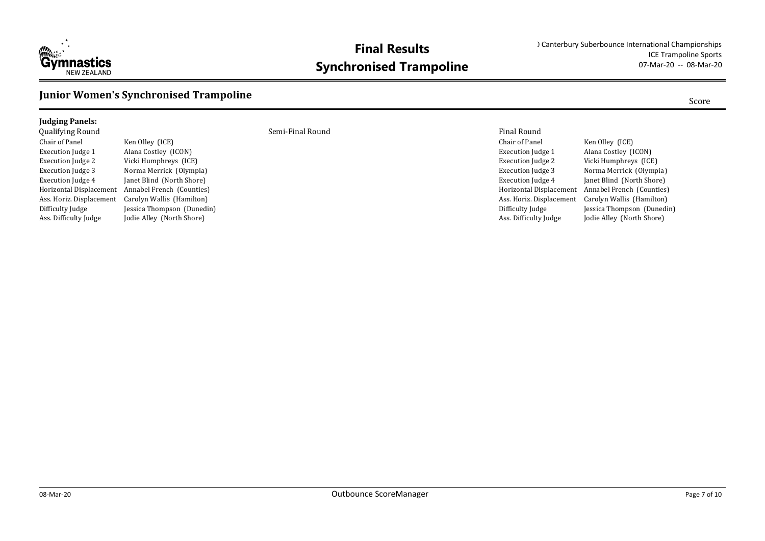

### **Junior Women's Synchronised Trampoline** Score Score Score

### **Judging Panels:**

Chair of Panel Ken Olley (ICE) Execution Judge 1 Alana Costley (ICON) Execution Judge 2 Vicki Humphreys (ICE)

Execution Judge 3 Norma Merrick (Olympia) Execution Judge 4 Janet Blind (North Shore) Horizontal Displacement Annabel French (Counties) Ass. Horiz. Displacement Carolyn Wallis (Hamilton) Difficulty Judge Jessica Thompson (Dunedin) Ass. Difficulty Judge Jodie Alley (North Shore)

Qualifying Round Semi-Final Round Final Round

| гинан кошпи              |                            |
|--------------------------|----------------------------|
| Chair of Panel           | Ken Olley (ICE)            |
| <b>Execution Judge 1</b> | Alana Costley (ICON)       |
| <b>Execution Judge 2</b> | Vicki Humphreys (ICE)      |
| <b>Execution Judge 3</b> | Norma Merrick (Olympia)    |
| <b>Execution Judge 4</b> | Janet Blind (North Shore)  |
| Horizontal Displacement  | Annabel French (Counties)  |
| Ass. Horiz. Displacement | Carolyn Wallis (Hamilton)  |
| Difficulty Judge         | Jessica Thompson (Dunedin) |
| Ass. Difficulty Judge    | Jodie Alley (North Shore)  |
|                          |                            |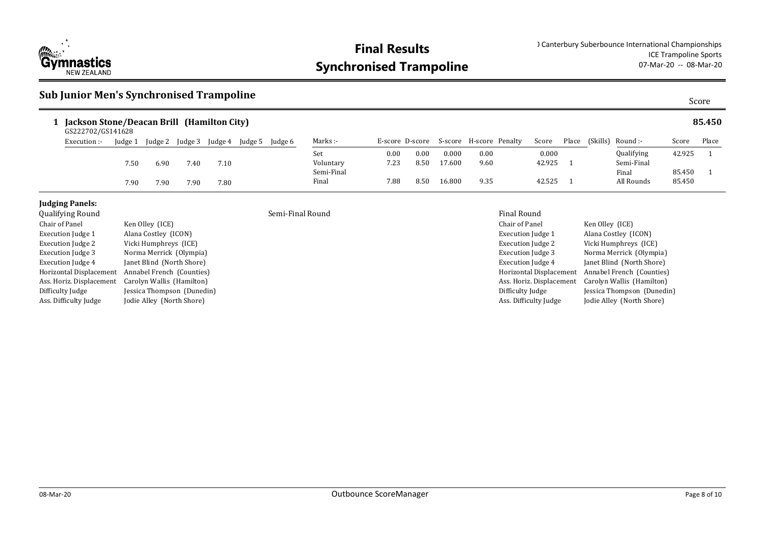

### **Sub Junior Men's Synchronised Trampoline**

| ×<br>۰.<br>×<br>۰,<br>×<br>×<br>٩<br>ł |  |
|----------------------------------------|--|

| Jackson Stone/Deacan Brill (Hamilton City)<br>GS222702/GS141628 |              |         |         |         |         |         |         |            |                 |      |        |                         |        |       |          |            |        | 85.450 |
|-----------------------------------------------------------------|--------------|---------|---------|---------|---------|---------|---------|------------|-----------------|------|--------|-------------------------|--------|-------|----------|------------|--------|--------|
|                                                                 | Execution :- | Judge 1 | Judge 2 | Iudge 3 | Judge 4 | Judge 5 | Judge 6 | Marks :-   | E-score D-score |      |        | S-score H-score Penalty | Score  | Place | (Skills) | Round :-   | Score  | Place  |
|                                                                 |              |         |         |         |         |         |         | Set        | 0.00            | 0.00 | 0.000  | 0.00                    | 0.000  |       |          | Qualifying | 42.925 |        |
|                                                                 |              | 7.50    | 5.90    | 7.40    | 7.10    |         |         | Voluntary  | 7.23            | 8.50 | 17.600 | 9.60                    | 42.925 |       |          | Semi-Final |        |        |
|                                                                 |              |         |         |         |         |         |         | Semi-Final |                 |      |        |                         |        |       |          | Final      | 85.450 |        |
|                                                                 |              | 7.90    | 7.90    | 7.90    | 7.80    |         |         | Final      | 7.88            | 8.50 | 16.800 | 9.35                    | 42.525 |       |          | All Rounds | 85.450 |        |

### **Judging Panels:**

| <b>Qualifying Round</b>  |                            | Semi-Final Round | <b>Final Round</b>   |
|--------------------------|----------------------------|------------------|----------------------|
| Chair of Panel           | Ken Olley (ICE)            |                  | Chair of Pane        |
| Execution Judge 1        | Alana Costley (ICON)       |                  | Execution Juc        |
| Execution Judge 2        | Vicki Humphreys (ICE)      |                  | Execution Juc        |
| Execution Judge 3        | Norma Merrick (Olympia)    |                  | Execution Juc        |
| Execution Judge 4        | Janet Blind (North Shore)  |                  | <b>Execution</b> Juc |
| Horizontal Displacement  | Annabel French (Counties)  |                  | Horizontal Di        |
| Ass. Horiz. Displacement | Carolyn Wallis (Hamilton)  |                  | Ass. Horiz. Di       |
| Difficulty Judge         | Jessica Thompson (Dunedin) |                  | Difficulty Jud       |
| Ass. Difficulty Judge    | Jodie Alley (North Shore)  |                  | Ass. Difficulty      |

#### Chair of Panel Ken Olley (ICE) Execution Judge 1 Alana Costley (ICON) Execution Judge 2 Vicki Humphreys (ICE) Execution Judge 3 Norma Merrick (Olympia) Execution Judge 4 Janet Blind (North Shore) Horizontal Displacement Annabel French (Counties) Ass. Horiz. Displacement Carolyn Wallis (Hamilton) Difficulty Judge Jessica Thompson (Dunedin) Ass. Difficulty Judge Jodie Alley (North Shore)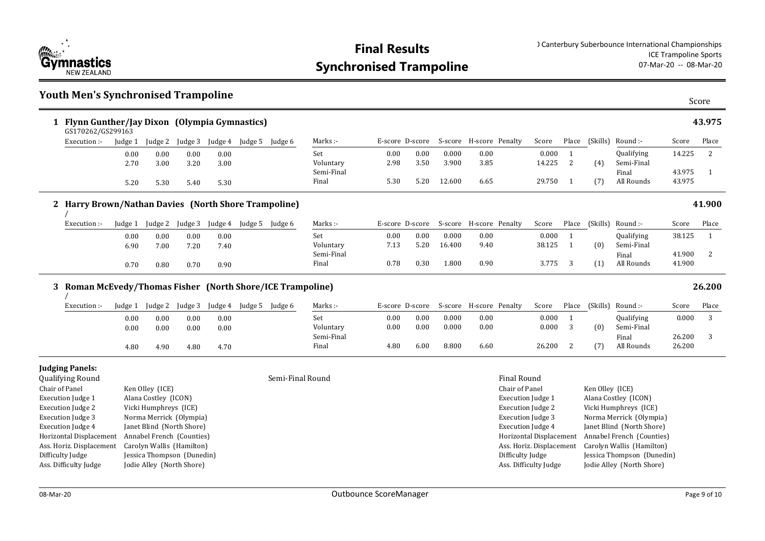

Horizontal Displacement Annabel French (Counties) Ass. Horiz. Displacement Carolyn Wallis (Hamilton) Difficulty Judge **Jessica Thompson** (Dunedin) Ass. Difficulty Judge Jodie Alley (North Shore)

#### **Youth Men's Synchronised Trampoline** Score **Flynn Gunther/Jay Dixon (Olympia Gymnastics) 1 43.975** 0.00 0.00 0.000 0.00 0.00 0.000 1 2.98 3.50 3.900 3.85 14.225 2 5.30 5.20 12.600 6.65 29.750 1 (7) All Rounds 43.975 Set Voluntary Semi-Final Final Marks :- F-score D-score S-score H-score Penalty Score Place (Skills) Round :-Qualifying Semi-Final Final Score Place 14.225 2 43.975 1 Place (Skills) (4) (7) GS170262/GS299163 Execution :- Judge 1 Judge 2 Judge 3 Judge 4 Judge 5 Judge 6 0.00 0.00 0.00 0.00 2.70 3.00 3.20 3.00 5.20 5.30 5.40 5.30 **Harry Brown/Nathan Davies (North Shore Trampoline) 2 41.900** 0.00 0.00 0.000 0.00 0.00 0.000 1 7.13 5.20 16.400 9.40 38.125 1 0.78 0.30 1.800 0.90 3.775 3 1) All Rounds 41.900 Set Voluntary Semi-Final Final Marks :- The E-score D-score S-score H-score Penalty Score Place (Skills) Round :-Qualifying Semi-Final Final All Rounds Score Place 38.125 1 41.900 2 (Skills) (0) (1) / Execution :- Judge 1 Judge 2 Judge 3 Judge 4 Judge 5 Judge 6 0.00 0.00 0.00 0.00 6.90 7.00 7.20 7.40 0.70 0.80 0.70 0.90 **Roman McEvedy/Thomas Fisher (North Shore/ICE Trampoline) 3 26.200** 0.00 0.00 0.000 0.00 0.00 0.000 1 0.00 0.00 0.000 0.00 0.00 0.000 3 4.80 6.00 8.800 6.60 26.200 2 (7) All Rounds 26.200 Set Voluntary Semi-Final Final Marks :- The Secore D-score S-score H-score Penalty Score Place (Skills) Round :-Qualifying Semi-Final Final Score Place 0.000 3 26.200 3 Place (Skills) (0) (7) / Execution :- Judge 1 Judge 2 Judge 3 Judge 4 Judge 5 Judge 6 0.00 0.00 0.00 0.00 0.00 0.00 0.00 0.00 4.80 4.90 4.80 4.70 **Judging Panels:** Qualifying Round Semi-Final Round Final Round Chair of Panel Ken Olley (ICE) Execution Judge 1 Alana Costley (ICON) Execution Judge 2 Vicki Humphreys (ICE) Execution Judge 3 Norma Merrick (Olympia) Execution Judge 4 Janet Blind (North Shore) Chair of Panel Ken Olley (ICE) Execution Judge 1 Alana Costley (ICON) Execution Judge 2 Vicki Humphreys (ICE) Execution Judge 3 Norma Merrick (Olympia) Execution Judge 4 Janet Blind (North Shore)

Horizontal Displacement Annabel French (Counties) Ass. Horiz. Displacement Carolyn Wallis (Hamilton) Difficulty Judge Jessica Thompson (Dunedin) Ass. Difficulty Judge Jodie Alley (North Shore)